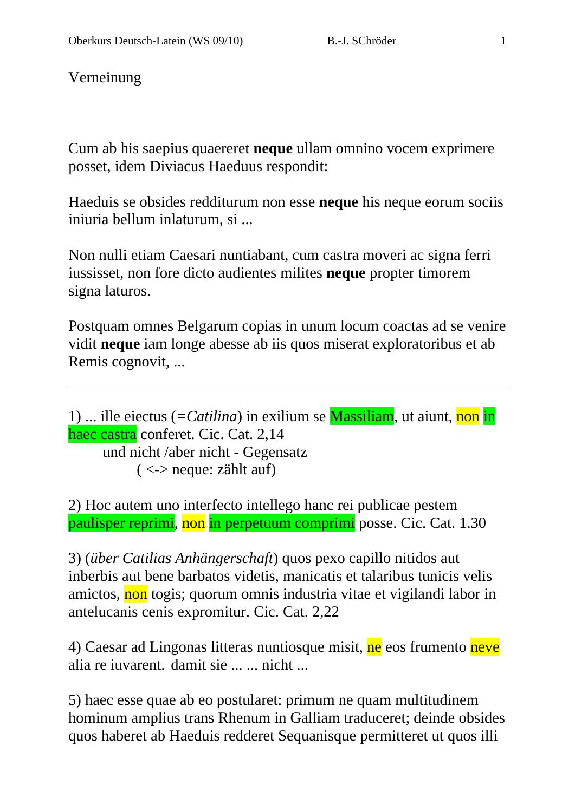Verneinung

Cum ab his saepius quaereret **neque** ullam omnino vocem exprimere posset, idem Diviacus Haeduus respondit:

Haeduis se obsides redditurum non esse **neque** his neque eorum sociis iniuria bellum inlaturum, si ...

Non nulli etiam Caesari nuntiabant, cum castra moveri ac signa ferri iussisset, non fore dicto audientes milites **neque** propter timorem signa laturos.

Postquam omnes Belgarum copias in unum locum coactas ad se venire vidit **neque** iam longe abesse ab iis quos miserat exploratoribus et ab Remis cognovit, ...

```
1) ... ille eiectus (=Catilina) in exilium se Massiliam, ut aiunt, non in 
haec castra conferet. Cic. Cat. 2,14 
       und nicht /aber nicht - Gegensatz 
             \langle \langle \rangle -> neque: zählt auf)
```
2) Hoc autem uno interfecto intellego hanc rei publicae pestem paulisper reprimi, non in perpetuum comprimi posse. Cic. Cat. 1.30

3) (*über Catilias Anhängerschaft*) quos pexo capillo nitidos aut inberbis aut bene barbatos videtis, manicatis et talaribus tunicis velis amictos, non togis; quorum omnis industria vitae et vigilandi labor in antelucanis cenis expromitur. Cic. Cat. 2,22

4) Caesar ad Lingonas litteras nuntiosque misit, ne eos frumento neve alia re iuvarent. damit sie ... ... nicht ...

5) haec esse quae ab eo postularet: primum ne quam multitudinem hominum amplius trans Rhenum in Galliam traduceret; deinde obsides quos haberet ab Haeduis redderet Sequanisque permitteret ut quos illi